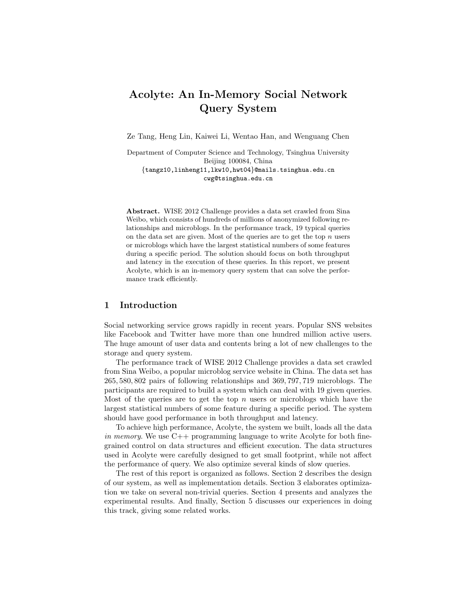# **Acolyte: An In-Memory Social Network Query System**

Ze Tang, Heng Lin, Kaiwei Li, Wentao Han, and Wenguang Chen

Department of Computer Science and Technology, Tsinghua University Beijing 100084, China *{*tangz10,linheng11,lkw10,hwt04*}*@mails.tsinghua.edu.cn cwg@tsinghua.edu.cn

**Abstract.** WISE 2012 Challenge provides a data set crawled from Sina Weibo, which consists of hundreds of millions of anonymized following relationships and microblogs. In the performance track, 19 typical queries on the data set are given. Most of the queries are to get the top *n* users or microblogs which have the largest statistical numbers of some features during a specific period. The solution should focus on both throughput and latency in the execution of these queries. In this report, we present Acolyte, which is an in-memory query system that can solve the performance track efficiently.

# **1 Introduction**

Social networking service grows rapidly in recent years. Popular SNS websites like Facebook and Twitter have more than one hundred million active users. The huge amount of user data and contents bring a lot of new challenges to the storage and query system.

The performance track of WISE 2012 Challenge provides a data set crawled from Sina Weibo, a popular microblog service website in China. The data set has 265*,* 580*,* 802 pairs of following relationships and 369*,* 797*,* 719 microblogs. The participants are required to build a system which can deal with 19 given queries. Most of the queries are to get the top *n* users or microblogs which have the largest statistical numbers of some feature during a specific period. The system should have good performance in both throughput and latency.

To achieve high performance, Acolyte, the system we built, loads all the data *in memory*. We use C++ programming language to write Acolyte for both finegrained control on data structures and efficient execution. The data structures used in Acolyte were carefully designed to get small footprint, while not affect the performance of query. We also optimize several kinds of slow queries.

The rest of this report is organized as follows. Section 2 describes the design of our system, as well as implementation details. Section 3 elaborates optimization we take on several non-trivial queries. Section 4 presents and analyzes the experimental results. And finally, Section 5 discusses our experiences in doing this track, giving some related works.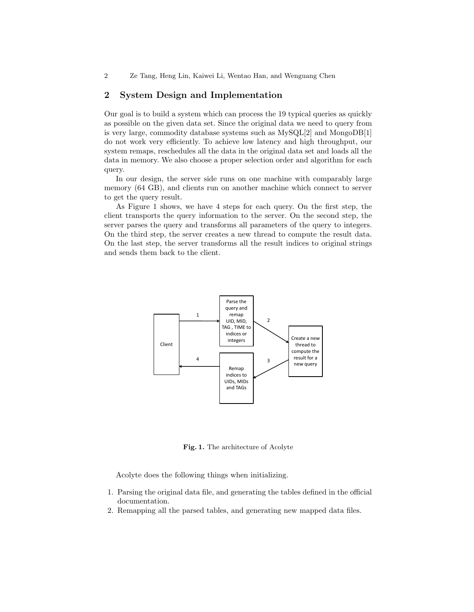# **2 System Design and Implementation**

Our goal is to build a system which can process the 19 typical queries as quickly as possible on the given data set. Since the original data we need to query from is very large, commodity database systems such as MySQL[2] and MongoDB[1] do not work very efficiently. To achieve low latency and high throughput, our system remaps, reschedules all the data in the original data set and loads all the data in memory. We also choose a proper selection order and algorithm for each query.

In our design, the server side runs on one machine with comparably large memory (64 GB), and clients run on another machine which connect to server to get the query result.

As Figure 1 shows, we have 4 steps for each query. On the first step, the client transports the query information to the server. On the second step, the server parses the query and transforms all parameters of the query to integers. On the third step, the server creates a new thread to compute the result data. On the last step, the server transforms all the result indices to original strings and sends them back to the client.



**Fig. 1.** The architecture of Acolyte

Acolyte does the following things when initializing.

- 1. Parsing the original data file, and generating the tables defined in the official documentation.
- 2. Remapping all the parsed tables, and generating new mapped data files.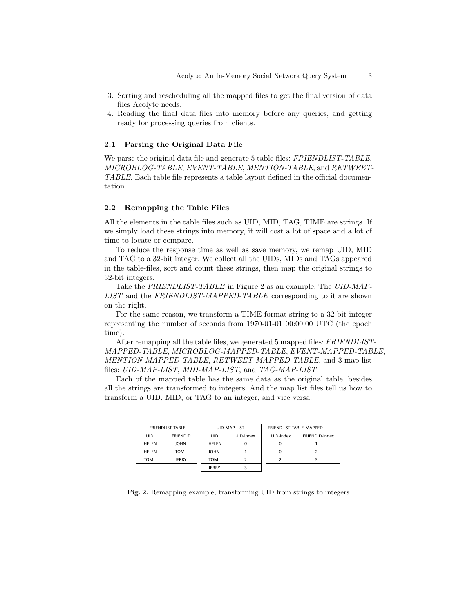- 3. Sorting and rescheduling all the mapped files to get the final version of data files Acolyte needs.
- 4. Reading the final data files into memory before any queries, and getting ready for processing queries from clients.

## **2.1 Parsing the Original Data File**

We parse the original data file and generate 5 table files: *FRIENDLIST-TABLE*, *MICROBLOG-TABLE*, *EVENT-TABLE*, *MENTION-TABLE*, and *RETWEET-TABLE*. Each table file represents a table layout defined in the official documentation.

### **2.2 Remapping the Table Files**

All the elements in the table files such as UID, MID, TAG, TIME are strings. If we simply load these strings into memory, it will cost a lot of space and a lot of time to locate or compare.

To reduce the response time as well as save memory, we remap UID, MID and TAG to a 32-bit integer. We collect all the UIDs, MIDs and TAGs appeared in the table-files, sort and count these strings, then map the original strings to 32-bit integers.

Take the *FRIENDLIST-TABLE* in Figure 2 as an example. The *UID-MAP-LIST* and the *FRIENDLIST-MAPPED-TABLE* corresponding to it are shown on the right.

For the same reason, we transform a TIME format string to a 32-bit integer representing the number of seconds from 1970-01-01 00:00:00 UTC (the epoch time).

After remapping all the table files, we generated 5 mapped files: *FRIENDLIST-MAPPED-TABLE*, *MICROBLOG-MAPPED-TABLE*, *EVENT-MAPPED-TABLE*, *MENTION-MAPPED-TABLE*, *RETWEET-MAPPED-TABLE*, and 3 map list files: *UID-MAP-LIST*, *MID-MAP-LIST*, and *TAG-MAP-LIST*.

Each of the mapped table has the same data as the original table, besides all the strings are transformed to integers. And the map list files tell us how to transform a UID, MID, or TAG to an integer, and vice versa.

| FRIENDLIST-TABLE |                 | UID-MAP-LIST |           | FRIENDLIST-TABLE-MAPPED |                |
|------------------|-----------------|--------------|-----------|-------------------------|----------------|
| UID              | <b>FRIENDID</b> | UID          | UID-index | UID-index               | FRIENDID-index |
| <b>HFLFN</b>     | <b>JOHN</b>     | <b>HFLFN</b> |           |                         |                |
| <b>HFLFN</b>     | TOM             | <b>JOHN</b>  |           |                         |                |
| том              | <b>JERRY</b>    | TOM          |           |                         |                |
|                  |                 | <b>JERRY</b> |           |                         |                |

**Fig. 2.** Remapping example, transforming UID from strings to integers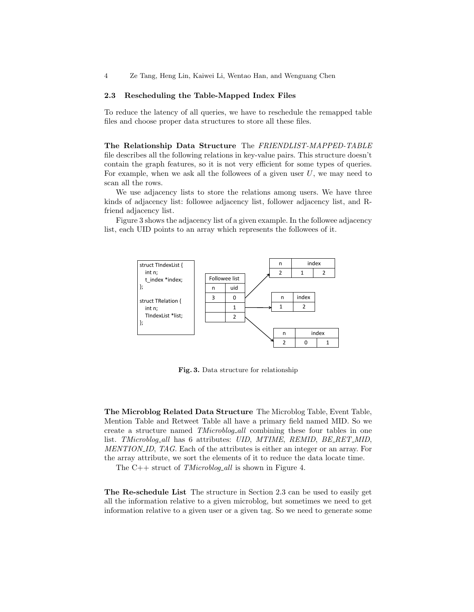#### **2.3 Rescheduling the Table-Mapped Index Files**

To reduce the latency of all queries, we have to reschedule the remapped table files and choose proper data structures to store all these files.

**The Relationship Data Structure** The *FRIENDLIST-MAPPED-TABLE* file describes all the following relations in key-value pairs. This structure doesn't contain the graph features, so it is not very efficient for some types of queries. For example, when we ask all the followees of a given user *U*, we may need to scan all the rows.

We use adjacency lists to store the relations among users. We have three kinds of adjacency list: followee adjacency list, follower adjacency list, and Rfriend adjacency list.

Figure 3 shows the adjacency list of a given example. In the followee adjacency list, each UID points to an array which represents the followees of it.



**Fig. 3.** Data structure for relationship

**The Microblog Related Data Structure** The Microblog Table, Event Table, Mention Table and Retweet Table all have a primary field named MID. So we create a structure named *TMicroblog all* combining these four tables in one list. *TMicroblog all* has 6 attributes: *UID*, *MTIME*, *REMID*, *BE RET MID*, *MENTION ID*, *TAG*. Each of the attributes is either an integer or an array. For the array attribute, we sort the elements of it to reduce the data locate time.

The C++ struct of *TMicroblog all* is shown in Figure 4.

**The Re-schedule List** The structure in Section 2.3 can be used to easily get all the information relative to a given microblog, but sometimes we need to get information relative to a given user or a given tag. So we need to generate some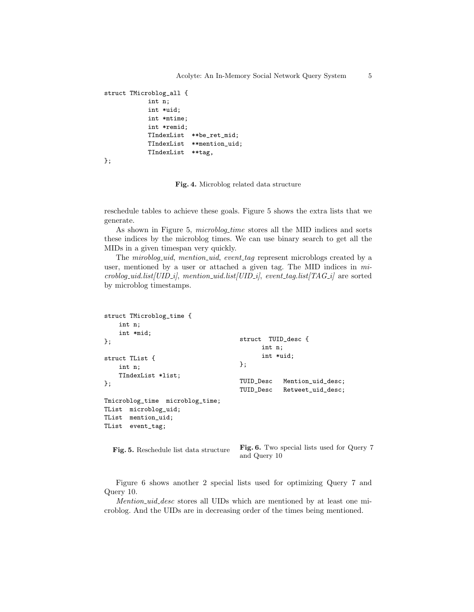```
struct TMicroblog_all {
           int n;
           int *uid;
           int *mtime;
           int *remid;
           TIndexList **be_ret_mid;
           TIndexList **mention_uid;
           TIndexList **tag,
```

```
};
```
#### **Fig. 4.** Microblog related data structure

reschedule tables to achieve these goals. Figure 5 shows the extra lists that we generate.

As shown in Figure 5, *microblog time* stores all the MID indices and sorts these indices by the microblog times. We can use binary search to get all the MIDs in a given timespan very quickly.

The *miroblog uid*, *mention uid*, *event tag* represent microblogs created by a user, mentioned by a user or attached a given tag. The MID indices in *microblog uid.list[UID i]*, *mention uid.list[UID i]*, *event tag.list[TAG i]* are sorted by microblog timestamps.

```
struct TMicroblog_time {
   int n;
    int *mid;
};
struct TList {
    int n;
    TIndexList *list;
};
Tmicroblog_time microblog_time;
TList microblog_uid;
TList mention_uid;
TList event_tag;
                                     struct TUID_desc {
                                           int n;
                                           int *uid;
                                     };
                                     TUID_Desc Mention_uid_desc;
                                     TUID_Desc Retweet_uid_desc;
```
**Fig. 5.** Reschedule list data structure

**Fig. 6.** Two special lists used for Query 7 and Query 10

Figure 6 shows another 2 special lists used for optimizing Query 7 and Query 10.

*Mention uid desc* stores all UIDs which are mentioned by at least one microblog. And the UIDs are in decreasing order of the times being mentioned.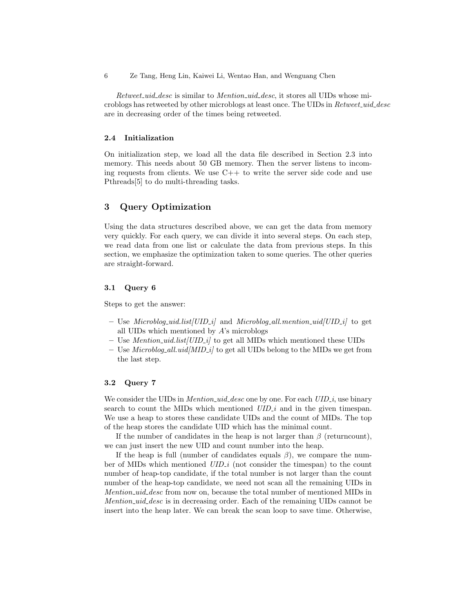*Retweet uid desc* is similar to *Mention uid desc*, it stores all UIDs whose microblogs has retweeted by other microblogs at least once. The UIDs in *Retweet uid desc* are in decreasing order of the times being retweeted.

#### **2.4 Initialization**

On initialization step, we load all the data file described in Section 2.3 into memory. This needs about 50 GB memory. Then the server listens to incoming requests from clients. We use  $C++$  to write the server side code and use Pthreads[5] to do multi-threading tasks.

# **3 Query Optimization**

Using the data structures described above, we can get the data from memory very quickly. For each query, we can divide it into several steps. On each step, we read data from one list or calculate the data from previous steps. In this section, we emphasize the optimization taken to some queries. The other queries are straight-forward.

## **3.1 Query 6**

Steps to get the answer:

- **–** Use *Microblog uid.list[UID i]* and *Microblog all.mention uid[UID i]* to get all UIDs which mentioned by *A*'s microblogs
- **–** Use *Mention uid.list[UID i]* to get all MIDs which mentioned these UIDs
- **–** Use *Microblog all.uid[MID i]* to get all UIDs belong to the MIDs we get from the last step.

#### **3.2 Query 7**

We consider the UIDs in *Mention\_uid\_desc* one by one. For each  $UID\_i$ , use binary search to count the MIDs which mentioned *UID<sub>i</sub>* and in the given timespan. We use a heap to stores these candidate UIDs and the count of MIDs. The top of the heap stores the candidate UID which has the minimal count.

If the number of candidates in the heap is not larger than  $\beta$  (returncount), we can just insert the new UID and count number into the heap.

If the heap is full (number of candidates equals  $\beta$ ), we compare the number of MIDs which mentioned *UID<sub>-</sub>i* (not consider the timespan) to the count number of heap-top candidate, if the total number is not larger than the count number of the heap-top candidate, we need not scan all the remaining UIDs in *Mention uid desc* from now on, because the total number of mentioned MIDs in *Mention uid desc* is in decreasing order. Each of the remaining UIDs cannot be insert into the heap later. We can break the scan loop to save time. Otherwise,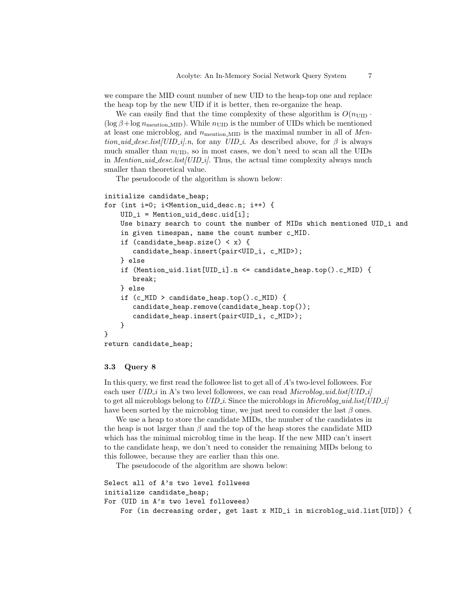we compare the MID count number of new UID to the heap-top one and replace the heap top by the new UID if it is better, then re-organize the heap.

We can easily find that the time complexity of these algorithm is  $O(n_{\text{UID}} \cdot$  $(\log \beta + \log n_{\text{mentioned}})$ . While  $n_{\text{UID}}$  is the number of UIDs which be mentioned at least one microblog, and  $n_{\text{motion} \dots \text{MD}}$  is the maximal number in all of *Mention\_uid\_desc.list*[*UID\_i*].n, for any *UID\_i*. As described above, for  $\beta$  is always much smaller than  $n_{\text{UID}}$ , so in most cases, we don't need to scan all the UIDs in *Mention uid desc.list[UID i]*. Thus, the actual time complexity always much smaller than theoretical value.

The pseudocode of the algorithm is shown below:

```
initialize candidate_heap;
```

```
for (int i=0; i<Mention_uid_desc.n; i++) {
    UID_i = Mention_uid_desc.uid[i];
    Use binary search to count the number of MIDs which mentioned UID_i and
    in given timespan, name the count number c_MID.
    if (candidate_heap.size() < x) {
       candidate_heap.insert(pair<UID_i, c_MID>);
    } else
    if (Mention_uid.list[UID_i].n <= candidate_heap.top().c_MID) {
       break;
    } else
    if (c_MID > candidate_heap.top().c_MID) {
       candidate_heap.remove(candidate_heap.top());
       candidate_heap.insert(pair<UID_i, c_MID>);
    }
}
```

```
return candidate_heap;
```
#### **3.3 Query 8**

In this query, we first read the followee list to get all of *A*'s two-level followees. For each user *UID*<sub>*i*</sub> in A's two level followees, we can read *Microblog\_uid.list*[*UID\_i*] to get all microblogs belong to *UID i*. Since the microblogs in *Microblog uid.list[UID i]* have been sorted by the microblog time, we just need to consider the last *β* ones.

We use a heap to store the candidate MIDs, the number of the candidates in the heap is not larger than  $\beta$  and the top of the heap stores the candidate MID which has the minimal microblog time in the heap. If the new MID can't insert to the candidate heap, we don't need to consider the remaining MIDs belong to this followee, because they are earlier than this one.

The pseudocode of the algorithm are shown below:

```
Select all of A's two level follwees
initialize candidate_heap;
For (UID in A's two level followees)
    For (in decreasing order, get last x MID_i in microblog_uid.list[UID]) {
```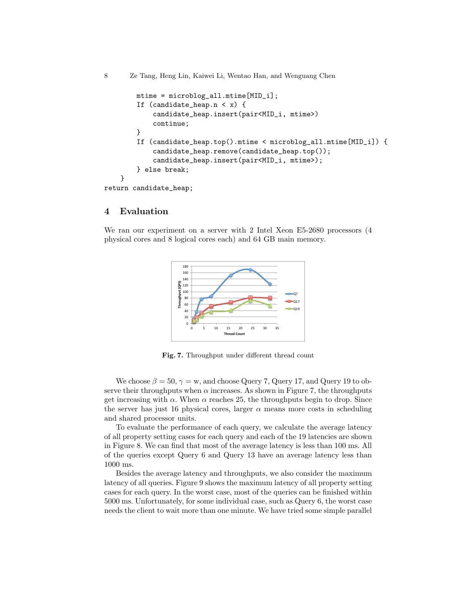```
mtime = microblog_all.mtime[MID_i];
        If (candidate_heap.n < x) {
            candidate_heap.insert(pair<MID_i, mtime>)
            continue;
        }
        If (candidate_heap.top().mtime < microblog_all.mtime[MID_i]) {
            candidate_heap.remove(candidate_heap.top());
            candidate_heap.insert(pair<MID_i, mtime>);
        } else break;
    }
return candidate_heap;
```
## **4 Evaluation**

We ran our experiment on a server with 2 Intel Xeon E5-2680 processors (4 physical cores and 8 logical cores each) and 64 GB main memory.



**Fig. 7.** Throughput under different thread count

We choose  $\beta = 50$ ,  $\gamma = w$ , and choose Query 7, Query 17, and Query 19 to observe their throughputs when  $\alpha$  increases. As shown in Figure 7, the throughputs get increasing with  $\alpha$ . When  $\alpha$  reaches 25, the throughputs begin to drop. Since the server has just 16 physical cores, larger  $\alpha$  means more costs in scheduling and shared processor units.

To evaluate the performance of each query, we calculate the average latency of all property setting cases for each query and each of the 19 latencies are shown in Figure 8. We can find that most of the average latency is less than 100 ms. All of the queries except Query 6 and Query 13 have an average latency less than 1000 ms.

Besides the average latency and throughputs, we also consider the maximum latency of all queries. Figure 9 shows the maximum latency of all property setting cases for each query. In the worst case, most of the queries can be finished within 5000 ms. Unfortunately, for some individual case, such as Query 6, the worst case needs the client to wait more than one minute. We have tried some simple parallel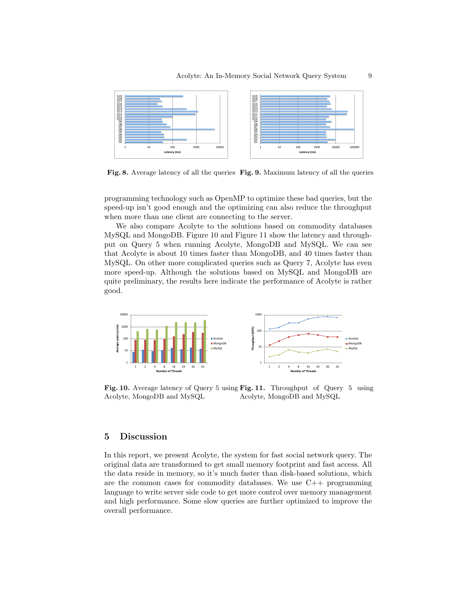

**Fig. 8.** Average latency of all the queries **Fig. 9.** Maximum latency of all the queries

programming technology such as OpenMP to optimize these bad queries, but the speed-up isn't good enough and the optimizing can also reduce the throughput when more than one client are connecting to the server.

We also compare Acolyte to the solutions based on commodity databases MySQL and MongoDB. Figure 10 and Figure 11 show the latency and throughput on Query 5 when running Acolyte, MongoDB and MySQL. We can see that Acolyte is about 10 times faster than MongoDB, and 40 times faster than MySQL. On other more complicated queries such as Query 7, Acolyte has even more speed-up. Although the solutions based on MySQL and MongoDB are quite preliminary, the results here indicate the performance of Acolyte is rather good.



**Fig. 10.** Average latency of Query 5 using **Fig. 11.** Throughput of Query 5 using Acolyte, MongoDB and MySQL Acolyte, MongoDB and MySQL

# **5 Discussion**

In this report, we present Acolyte, the system for fast social network query. The original data are transformed to get small memory footprint and fast access. All the data reside in memory, so it's much faster than disk-based solutions, which are the common cases for commodity databases. We use  $C_{++}$  programming language to write server side code to get more control over memory management and high performance. Some slow queries are further optimized to improve the overall performance.